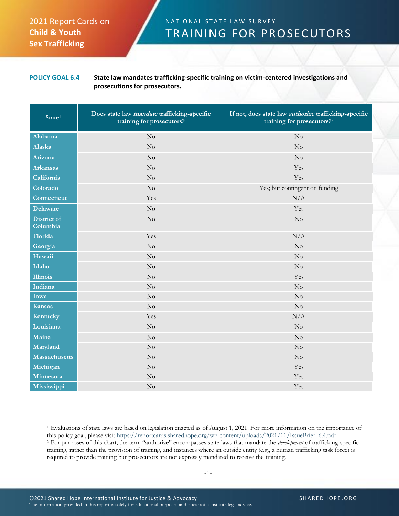## 2021 Report Cards on **Child & Youth Sex Trafficking**

## N A T I O N A L STATE LAW SURVEY TRAINING FOR PROSECUTORS

**POLICY GOAL 6.4 State law mandates trafficking-specific training on victim-centered investigations and prosecutions for prosecutors.**

| State <sup>1</sup>      | Does state law mandate trafficking-specific<br>training for prosecutors? | If not, does state law <i>authorize</i> trafficking-specific<br>training for prosecutors? <sup>2</sup> |
|-------------------------|--------------------------------------------------------------------------|--------------------------------------------------------------------------------------------------------|
| Alabama                 | No                                                                       | No                                                                                                     |
| Alaska                  | No                                                                       | No                                                                                                     |
| Arizona                 | $\rm No$                                                                 | No                                                                                                     |
| <b>Arkansas</b>         | $\rm No$                                                                 | Yes                                                                                                    |
| California              | No                                                                       | Yes                                                                                                    |
| Colorado                | No                                                                       | Yes; but contingent on funding                                                                         |
| Connecticut             | Yes                                                                      | N/A                                                                                                    |
| <b>Delaware</b>         | $\rm No$                                                                 | Yes                                                                                                    |
| District of<br>Columbia | No                                                                       | No                                                                                                     |
| Florida                 | Yes                                                                      | N/A                                                                                                    |
| Georgia                 | No                                                                       | No                                                                                                     |
| Hawaii                  | No                                                                       | No                                                                                                     |
| Idaho                   | $\rm No$                                                                 | No                                                                                                     |
| <b>Illinois</b>         | No                                                                       | Yes                                                                                                    |
| Indiana                 | $\rm No$                                                                 | No                                                                                                     |
| Iowa                    | $\rm No$                                                                 | $\rm No$                                                                                               |
| <b>Kansas</b>           | No                                                                       | No                                                                                                     |
| Kentucky                | Yes                                                                      | N/A                                                                                                    |
| Louisiana               | $\rm No$                                                                 | No                                                                                                     |
| Maine                   | $\overline{N}$                                                           | No                                                                                                     |
| Maryland                | No                                                                       | No                                                                                                     |
| <b>Massachusetts</b>    | No                                                                       | $\rm No$                                                                                               |
| Michigan                | $\rm No$                                                                 | Yes                                                                                                    |
| Minnesota               | No                                                                       | Yes                                                                                                    |
| Mississippi             | No                                                                       | Yes                                                                                                    |

<sup>1</sup> Evaluations of state laws are based on legislation enacted as of August 1, 2021. For more information on the importance of this policy goal, please visit [https://reportcards.sharedhope.org/wp-content/uploads/2021/11/IssueBrief\\_6.4.pdf.](https://reportcards.sharedhope.org/wp-content/uploads/2021/11/IssueBrief_6.4.pdf) <sup>2</sup> For purposes of this chart, the term "authorize" encompasses state laws that mandate the *development* of trafficking-specific training, rather than the provision of training, and instances where an outside entity (e.g., a human trafficking task force) is required to provide training but prosecutors are not expressly mandated to receive the training.